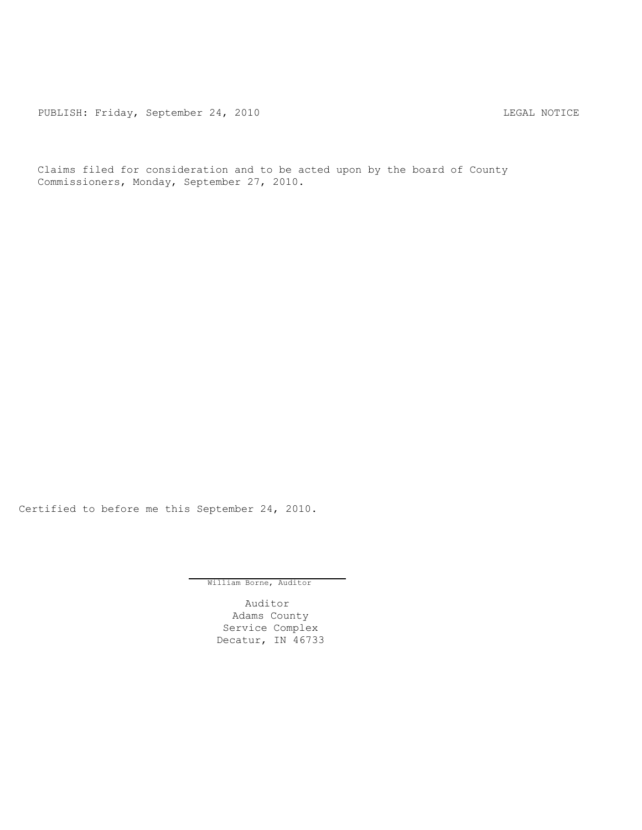PUBLISH: Friday, September 24, 2010 CONTERT CONTROLLING MOTICE

Claims filed for consideration and to be acted upon by the board of County Commissioners, Monday, September 27, 2010.

Certified to before me this September 24, 2010.

William Borne, Auditor

Auditor Adams County Service Complex Decatur, IN 46733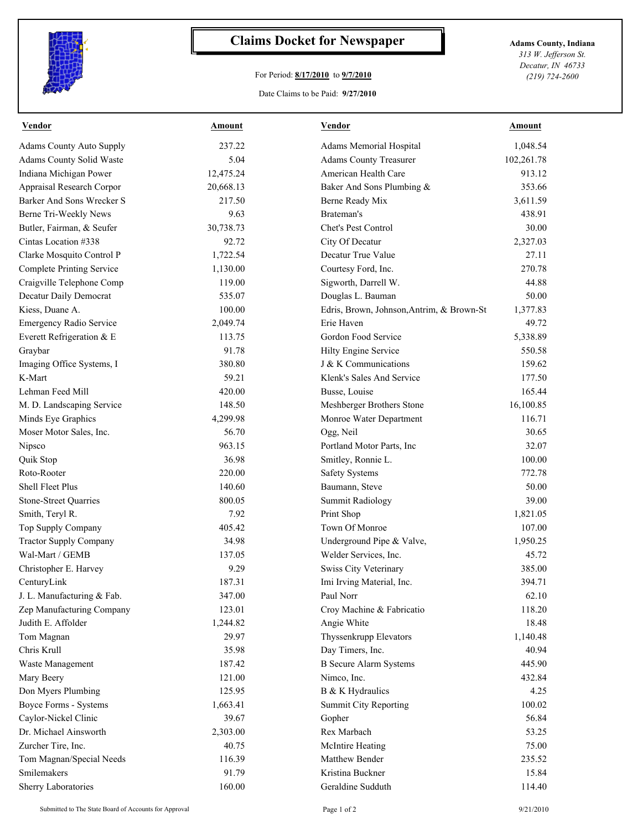

## **Claims Docket for Newspaper Adams County, Indiana**

## For Period: **8/17/2010** to **9/7/2010**

Date Claims to be Paid: **9/27/2010**

*313 W. Jefferson St. Decatur, IN 46733 (219) 724-2600*

| <b>Vendor</b>                    | <b>Amount</b> | <b>Vendor</b>                             | <b>Amount</b> |
|----------------------------------|---------------|-------------------------------------------|---------------|
| <b>Adams County Auto Supply</b>  | 237.22        | Adams Memorial Hospital                   | 1,048.54      |
| Adams County Solid Waste         | 5.04          | <b>Adams County Treasurer</b>             | 102,261.78    |
| Indiana Michigan Power           | 12,475.24     | American Health Care                      | 913.12        |
| Appraisal Research Corpor        | 20,668.13     | Baker And Sons Plumbing &                 | 353.66        |
| Barker And Sons Wrecker S        | 217.50        | Berne Ready Mix                           | 3,611.59      |
| Berne Tri-Weekly News            | 9.63          | Brateman's                                | 438.91        |
| Butler, Fairman, & Seufer        | 30,738.73     | Chet's Pest Control                       | 30.00         |
| Cintas Location #338             | 92.72         | City Of Decatur                           | 2,327.03      |
| Clarke Mosquito Control P        | 1,722.54      | Decatur True Value                        | 27.11         |
| <b>Complete Printing Service</b> | 1,130.00      | Courtesy Ford, Inc.                       | 270.78        |
| Craigville Telephone Comp        | 119.00        | Sigworth, Darrell W.                      | 44.88         |
| Decatur Daily Democrat           | 535.07        | Douglas L. Bauman                         | 50.00         |
| Kiess, Duane A.                  | 100.00        | Edris, Brown, Johnson, Antrim, & Brown-St | 1,377.83      |
| <b>Emergency Radio Service</b>   | 2,049.74      | Erie Haven                                | 49.72         |
| Everett Refrigeration & E        | 113.75        | Gordon Food Service                       | 5,338.89      |
| Graybar                          | 91.78         | Hilty Engine Service                      | 550.58        |
| Imaging Office Systems, I        | 380.80        | J & K Communications                      | 159.62        |
| K-Mart                           | 59.21         | Klenk's Sales And Service                 | 177.50        |
| Lehman Feed Mill                 | 420.00        | Busse, Louise                             | 165.44        |
| M. D. Landscaping Service        | 148.50        | Meshberger Brothers Stone                 | 16,100.85     |
| Minds Eye Graphics               | 4,299.98      | Monroe Water Department                   | 116.71        |
| Moser Motor Sales, Inc.          | 56.70         | Ogg, Neil                                 | 30.65         |
| Nipsco                           | 963.15        | Portland Motor Parts, Inc.                | 32.07         |
| Quik Stop                        | 36.98         | Smitley, Ronnie L.                        | 100.00        |
| Roto-Rooter                      | 220.00        | <b>Safety Systems</b>                     | 772.78        |
| Shell Fleet Plus                 | 140.60        | Baumann, Steve                            | 50.00         |
| Stone-Street Quarries            | 800.05        | <b>Summit Radiology</b>                   | 39.00         |
| Smith, Teryl R.                  | 7.92          | Print Shop                                | 1,821.05      |
| Top Supply Company               | 405.42        | Town Of Monroe                            | 107.00        |
| <b>Tractor Supply Company</b>    | 34.98         | Underground Pipe & Valve,                 | 1,950.25      |
| Wal-Mart / GEMB                  | 137.05        | Welder Services, Inc.                     | 45.72         |
| Christopher E. Harvey            | 9.29          | Swiss City Veterinary                     | 385.00        |
| CenturyLink                      | 187.31        | Imi Irving Material, Inc.                 | 394.71        |
| J. L. Manufacturing & Fab.       | 347.00        | Paul Norr                                 | 62.10         |
| Zep Manufacturing Company        | 123.01        | Croy Machine & Fabricatio                 | 118.20        |
| Judith E. Affolder               | 1,244.82      | Angie White                               | 18.48         |
| Tom Magnan                       | 29.97         | Thyssenkrupp Elevators                    | 1,140.48      |
| Chris Krull                      | 35.98         | Day Timers, Inc.                          | 40.94         |
| Waste Management                 | 187.42        | <b>B</b> Secure Alarm Systems             | 445.90        |
| Mary Beery                       | 121.00        | Nimco, Inc.                               | 432.84        |
| Don Myers Plumbing               | 125.95        | B & K Hydraulics                          | 4.25          |
| Boyce Forms - Systems            | 1,663.41      | <b>Summit City Reporting</b>              | 100.02        |
| Caylor-Nickel Clinic             | 39.67         | Gopher                                    | 56.84         |
| Dr. Michael Ainsworth            | 2,303.00      | Rex Marbach                               | 53.25         |
| Zurcher Tire, Inc.               | 40.75         | McIntire Heating                          | 75.00         |
| Tom Magnan/Special Needs         | 116.39        | Matthew Bender                            | 235.52        |
| Smilemakers                      | 91.79         | Kristina Buckner                          | 15.84         |
| Sherry Laboratories              | 160.00        | Geraldine Sudduth                         | 114.40        |
|                                  |               |                                           |               |